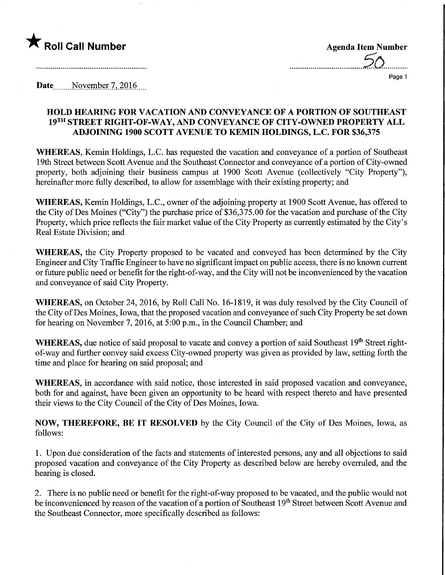

Page 1

Date November 7, 2016

### HOLD HEARING FOR VACATION AND CONVEYANCE OF A PORTION OF SOUTHEAST 19TH STREET RIGHT-OF-WAY, AND CONVEYANCE OF CITY-OWNED PROPERTY ALL ADJOINING 1900 SCOTT AVENUE TO KEMIN HOLDINGS, L.C. FOR \$36,375

WHEREAS, Kemin Holdings, L.C. has requested the vacation and conveyance of a portion of Southeast 19th Street between Scott Avenue and the Southeast Connector and conveyance of a portion ofCity-owned property, both adjoining their business campus at 1900 Scott Avenue (collectively "City Property"), hereinafter more fully described, to allow for assemblage with their existing property; and

WHEREAS, Kemin Holdings, L.C., owner of the adjoining property at 1900 Scott Avenue, has offered to the City of Des Moines ("City") the purchase price of \$36,375.00 for the vacation and purchase of the City Property, which price reflects the fair market value of the City Property as currently estimated by the City's Real Estate Division; and

WHEREAS, the City Property proposed to be vacated and conveyed has been determined by the City Engineer and City Traffic Engineer to have no significant impact on public access, there is no known current or future public need or benefit for the right-of-way, and the City will not be inconvenienced by the vacation and conveyance of said City Property.

WHEREAS, on October 24, 2016, by Roll Call No. 16-1819, it was duly resolved by the City Council of the City of Des Moines, Iowa, that the proposed vacation and conveyance of such City Property be set down for hearing on November 7, 2016, at 5:00 p.m., in the Council Chamber; and

WHEREAS, due notice of said proposal to vacate and convey a portion of said Southeast 19<sup>th</sup> Street rightof-way and further convey said excess City-owned property was given as provided by law, setting forth the time and place for hearing on said proposal; and

WHEREAS, in accordance with said notice, those interested in said proposed vacation and conveyance, both for and against, have been given an opportunity to be heard with respect thereto and have presented their views to the City Council of the City of Des Moines, Iowa.

NOW, THEREFORE, BE IT RESOLVED by the City Council of the City of Des Moines, Iowa, as follows:

1. Upon due consideration of the facts and statements of interested persons, any and all objections to said proposed vacation and conveyance of the City Property as described below are hereby overruled, and the hearing is closed.

2. There is no public need or benefit for the right-of-way proposed to be vacated, and the public would not be inconvenienced by reason of the vacation of a portion of Southeast 19<sup>th</sup> Street between Scott Avenue and the Southeast Connector, more specifically described as follows: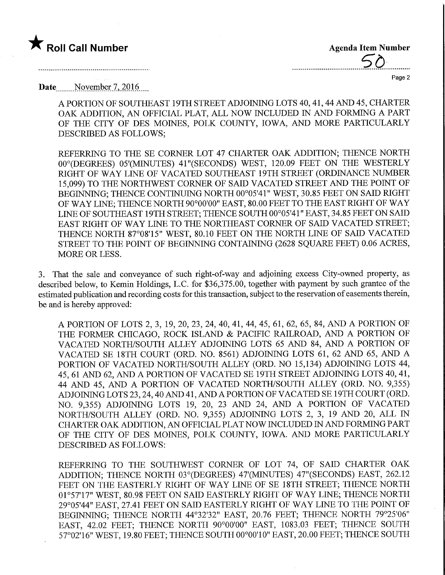## $\bigstar$  Roll Call Number  $\bigstar$  Agenda Item Number

 $50$ 

Page 2

Date<sub>.......</sub>November 7, 2016

A PORTION OF SOUTHEAST 19TH STREET ADJOINING LOTS 40, 41, 44 AND 45, CHARTER OAK ADDITION, AN OFFICIAL PLAT, ALL NOW INCLUDED IN AND FORMING A PART OF THE CITY OF DES MOINES, POLK COUNTY, IOWA, AND MORE PARTICULARLY DESCRIBED AS FOLLOWS;

REFERRING TO THE SE CORNER LOT 47 CHARTER OAK ADDITION; THENCE NORTH 00°(DEGREES) 05'(MINUTES) 41 "(SECONDS) WEST, 120.09 FEET ON THE WESTERLY RIGHT OF WAY LINE OF VACATED SOUTHEAST 19TH STREET (ORDINANCE NUMBER 15,099) TO THE NORTHWEST CORNER OF SAID VACATED STREET AND THE POINT OF BEGINNING; THENCE CONTINUING NORTH 00°05'41" WEST, 30.85 FEET ON SAID RIGHT OF WAY LINE; THENCE NORTH 90°00'00" EAST, 80.00 FEET TO THE EAST RIGHT OF WAY LINE OF SOUTHEAST 19TH STREET; THENCE SOUTH 00°05'41" EAST, 34.85 FEET ON SAID EAST RIGHT OF WAY LINE TO THE NORTHEAST CORNER OF SAID VACATED STREET; THENCE NORTH 87°08'15" WEST, 80.10 FEET ON THE NORTH LINE OF SAID VACATED STREET TO THE POINT OF BEGINNING CONTAINING (2628 SQUARE FEET) 0.06 ACRES, MORE OR LESS.

3. That the sale and conveyance of such right-of-way and adjoining excess City-owned property, as described below, to Kemin Holdings, L.C. for \$36,375.00, together with payment by such grantee of the estimated publication and recording costs for this transaction, subject to the reservation of easements therein, be and is hereby approved:

A PORTION OF LOTS 2, 3, 19, 20,23,24, 40, 41, 44, 45, 61, 62, 65, 84, AND A PORTION OF THE FORMER CHICAGO, ROCK ISLAND & PACIFIC RAILROAD, AND A PORTION OF VACATED NORTH/SOUTH ALLEY ADJOINING LOTS 65 AND 84, AND A PORTION OF VACATED SE 18TH COURT (ORD. NO. 8561) ADJOINING LOTS 61, 62 AND 65, AND A PORTION OF VACATED NORTH/SOUTH ALLEY (ORD. NO 15,134) ADJOINING LOTS 44, 45, 61 AND 62, AND A PORTION OF VACATED SE 19TH STREET ADJOINING LOTS 40, 41, 44 AND 45, AND A PORTION OF VACATED NORTH/SOUTH ALLEY (ORD. NO. 9,355) ADJOINING LOTS 23,24,40 AND 41, AND A PORTION OF VACATED SE 19TH COURT (ORD. NO. 9,355) ADJOINING LOTS 19, 20, 23 AND 24, AND A PORTION OF VACATED NORTH/SOUTH ALLEY (ORD. NO. 9,355) ADJOINING LOTS 2, 3, 19 AND 20, ALL IN CHARTER OAK ADDITION, AN OFFICIAL PLAT NOW INCLUDED IN AND FORMING PART OF THE CITY OF DES MOINES, POLK COUNTY, IOWA. AND MORE PARTICULARLY DESCRIBED AS FOLLOWS:

REFERRING TO THE SOUTHWEST CORNER OF LOT 74, OF SAID CHARTER OAK ADDITION; THENCE NORTH 03°(DEGREES) 47'(MINUTES) 47"(SECONDS) EAST, 262.12 FEET ON THE EASTERLY RIGHT OF WAY LINE OF SE 18TH STREET; THENCE NORTH 01°57'17" WEST, 80.98 FEET ON SAID EASTERLY RIGHT OF WAY LINE; THENCE NORTH 29°05'44" EAST, 27.41 FEET ON SAID EASTERLY RIGHT OF WAY LINE TO THE POINT OF BEGINNING; THENCE NORTH 44°32'32" EAST, 20.76 FEET; THENCE NORTH 79°25'06" EAST, 42.02 FEET; THENCE NORTH 90°00'00" EAST, 1083.03 FEET; THENCE SOUTH 57°02'16" WEST, 19.80 FEET; THENCE SOUTH 00°00'10" EAST, 20.00 FEET; THENCE SOUTH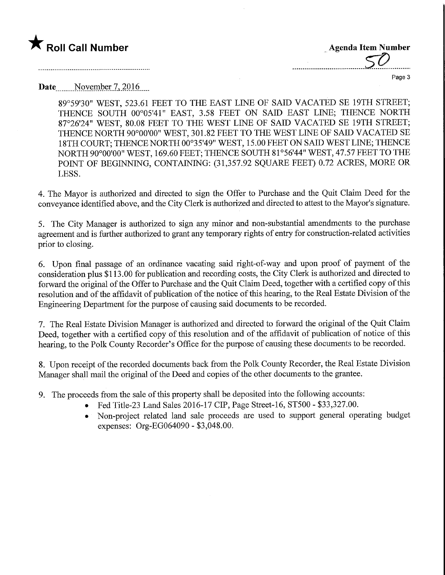### **The Soli Call Number Agents Contained Agents Contained Agents Item Number**

Page 3

### Date<sub>.......</sub>November 7, 2016

89°59'30" WEST, 523.61 FEET TO THE EAST LINE OF SAID VACATED SE 19TH STREET; THENCE SOUTH 00°05'41" EAST, 3.58 FEET ON SAID EAST LINE; THENCE NORTH 87°26'24" WEST, 80.08 FEET TO THE WEST LINE OF SAID VACATED SE 19TH STREET; THENCE NORTH 90°00'00" WEST, 301.82 FEET TO THE WEST LINE OF SAID VACATED SE 18TH COURT; THENCE NORTH 00°35'49" WEST, 15.00 FEET ON SAID WEST LINE; THENCE NORTH 90°00'00" WEST, 169.60 FEET; THENCE SOUTH 81°56'44" WEST, 47.57 FEET TO THE POINT OF BEGINNING, CONTAINING: (31,357.92 SQUARE FEET) 0.72 ACRES, MORE OR LESS.

4. The Mayor is authorized and directed to sign the Offer to Purchase and the Quit Claim Deed for the conveyance identified above, and the City Clerk is authorized and directed to attest to the Mayor's signature.

5. The City Manager is authorized to sign any minor and non-substantial amendments to the purchase agreement and is further authorized to grant any temporary rights of entry for construction-related activities prior to closing.

6. Upon final passage of an ordinance vacating said right-of-way and upon proof of payment of the consideration plus \$113.00 for publication and recording costs, the City Clerk is authorized and directed to forward the original of the Offer to Purchase and the Quit Claim Deed, together with a certified copy of this resolution and of the affidavit of publication of the notice of this hearing, to the Real Estate Division of the Engineering Department for the purpose of causing said documents to be recorded.

7. The Real Estate Division Manager is authorized and directed to forward the original of the Quit Claim Deed, together with a certified copy of this resolution and of the affidavit of publication of notice of this hearing, to the Polk County Recorder's Office for the purpose of causing these documents to be recorded.

8. Upon receipt of the recorded documents back from the Polk County Recorder, the Real Estate Division Manager shall mail the original of the Deed and copies of the other documents to the grantee.

- 9. The proceeds from the sale of this property shall be deposited into the following accounts:
	- Fed Title-23 Land Sales 2016-17 CIP, Page Street-16, ST500 \$33,327.00.
	- Non-project related land sale proceeds are used to support general operating budget expenses: Org-EG064090 - \$3,048.00.